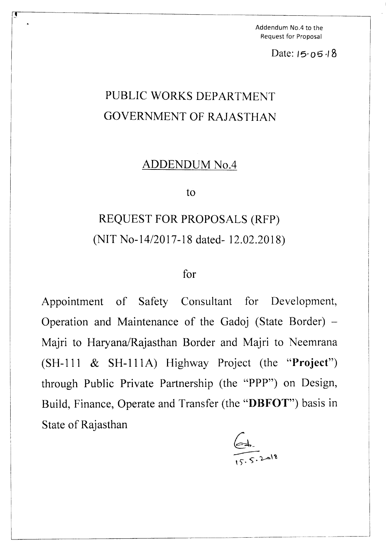Addendum No.4 to the Request for Proposal

Date: *15'06-/8*

## PUBLIC WORKS DEPARTMENT GOVERNMENT OF RAJASTHAN

 $\overline{\mathbf{r}}$  , and the contract of the contract of the contract of the contract of the contract of the contract of the contract of the contract of the contract of the contract of the contract of the contract of the contrac

## ADDENDUM No.4

to

## REQUEST FOR PROPOSALS (RFP) (NIT *No-14/2017-18* dated-12.02.2018)

## for

Appointment of Safety Consultant for Development, Operation and Maintenance of the Gadoj (State Border) -Majri to Haryana/Rajasthan Border and Majri to Neemrana (SH-111 & SH-111A) Highway Project (the "Project") through Public Private Partnership (the "PPP") on Design, Build, Finance, Operate and Transfer (the "DBFOT") basis in State of Rajasthan

 $\in$  $15.5.4$ <sup>15</sup>

I

 $\mathcal{L}_\text{max}$  and the contract of the contract of the contract of the contract of the contract of the contract of the contract of the contract of the contract of the contract of the contract of the contract of the contrac